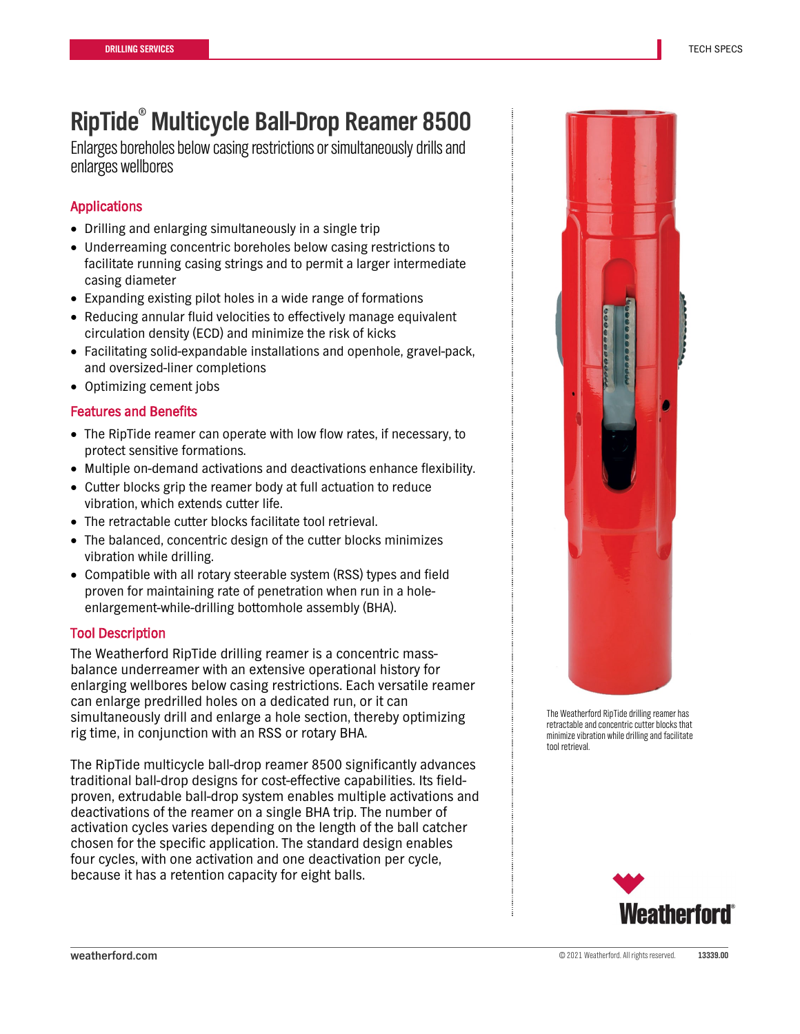# **RipTide® Multicycle Ball-Drop Reamer 8500**

Enlarges boreholes below casing restrictions or simultaneouslydrillsand enlarges wellbores

# Applications

- Drilling and enlarging simultaneously in a single trip
- Underreaming concentric boreholes below casing restrictions to facilitate running casing strings and to permit a larger intermediate casing diameter
- Expanding existing pilot holes in a wide range of formations
- Reducing annular fluid velocities to effectively manage equivalent circulation density (ECD) and minimize the risk of kicks
- Facilitating solid-expandable installations and openhole, gravel-pack, and oversized-liner completions
- Optimizing cement jobs

## Features and Benefits

- The RipTide reamer can operate with low flow rates, if necessary, to protect sensitive formations.
- Multiple on-demand activations and deactivations enhance flexibility.
- Cutter blocks grip the reamer body at full actuation to reduce vibration, which extends cutter life.
- The retractable cutter blocks facilitate tool retrieval.
- The balanced, concentric design of the cutter blocks minimizes vibration while drilling.
- Compatible with all rotary steerable system (RSS) types and field proven for maintaining rate of penetration when run in a holeenlargement-while-drilling bottomhole assembly (BHA).

## Tool Description

The Weatherford RipTide drilling reamer is a concentric massbalance underreamer with an extensive operational history for enlarging wellbores below casing restrictions. Each versatile reamer can enlarge predrilled holes on a dedicated run, or it can simultaneously drill and enlarge a hole section, thereby optimizing rig time, in conjunction with an RSS or rotary BHA.

The RipTide multicycle ball-drop reamer 8500 significantly advances traditional ball-drop designs for cost-effective capabilities. Its fieldproven, extrudable ball-drop system enables multiple activations and deactivations of the reamer on a single BHA trip. The number of activation cycles varies depending on the length of the ball catcher chosen for the specific application. The standard design enables four cycles, with one activation and one deactivation per cycle, because it has a retention capacity for eight balls.



The Weatherford RipTide drilling reamer has retractable and concentric cutter blocks that minimize vibration while drilling and facilitate tool retrieval.